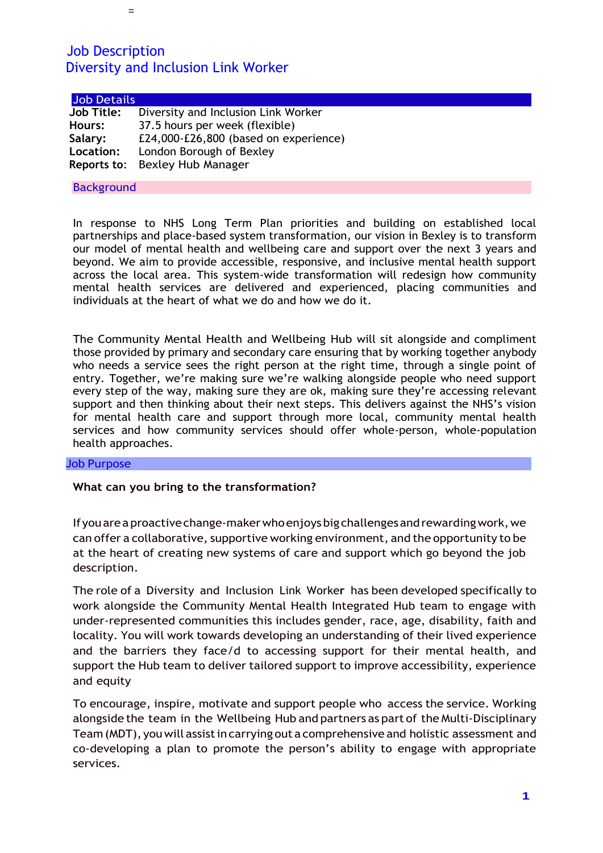=

| <b>Job Details</b> |                                       |  |
|--------------------|---------------------------------------|--|
| <b>Job Title:</b>  | Diversity and Inclusion Link Worker   |  |
| Hours:             | 37.5 hours per week (flexible)        |  |
| Salary:            | £24,000-£26,800 (based on experience) |  |
| Location:          | London Borough of Bexley              |  |
|                    | Reports to: Bexley Hub Manager        |  |

#### **Background**

In response to NHS Long Term Plan priorities and building on established local partnerships and place-based system transformation, our vision in Bexley is to transform our model of mental health and wellbeing care and support over the next 3 years and beyond. We aim to provide accessible, responsive, and inclusive mental health support across the local area. This system-wide transformation will redesign how community mental health services are delivered and experienced, placing communities and individuals at the heart of what we do and how we do it.

The Community Mental Health and Wellbeing Hub will sit alongside and compliment those provided by primary and secondary care ensuring that by working together anybody who needs a service sees the right person at the right time, through a single point of entry. Together, we're making sure we're walking alongside people who need support every step of the way, making sure they are ok, making sure they're accessing relevant support and then thinking about their next steps. This delivers against the NHS's vision for mental health care and support through more local, community mental health services and how community services should offer whole-person, whole-population health approaches.

#### Job Purpose

#### **What can you bring to the transformation?**

Ifyouareaproactivechange-makerwhoenjoysbig challengesandrewardingwork,we can offer a collaborative, supportive working environment, and the opportunity to be at the heart of creating new systems of care and support which go beyond the job description.

The role of a Diversity and Inclusion Link Worke**r** has been developed specifically to work alongside the Community Mental Health Integrated Hub team to engage with under-represented communities this includes gender, race, age, disability, faith and locality. You will work towards developing an understanding of their lived experience and the barriers they face/d to accessing support for their mental health, and support the Hub team to deliver tailored support to improve accessibility, experience and equity

To encourage, inspire, motivate and support people who access the service. Working alongside the team in the Wellbeing Hub and partners as part of the Multi-Disciplinary Team(MDT), youwill assistin carrying out a comprehensive and holistic assessment and co-developing a plan to promote the person's ability to engage with appropriate services.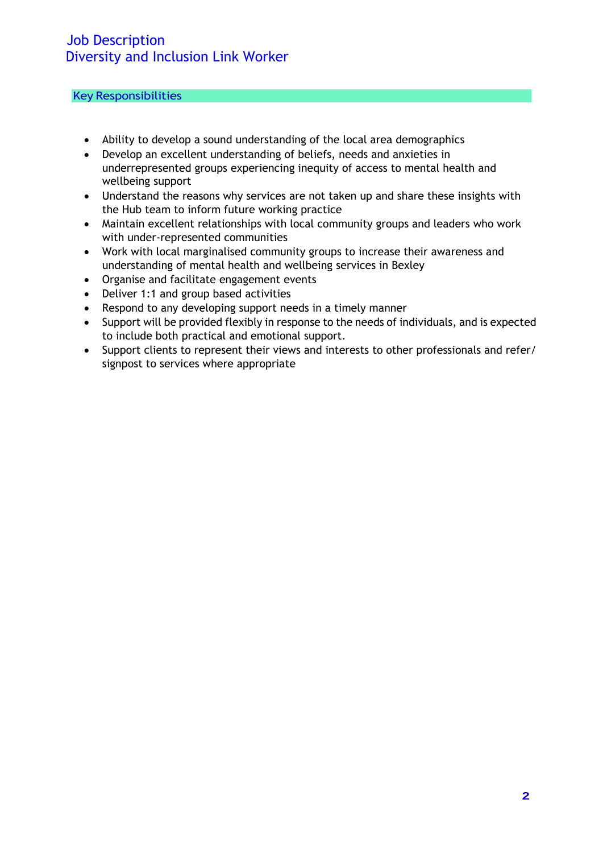### Key Responsibilities

- Ability to develop a sound understanding of the local area demographics
- Develop an excellent understanding of beliefs, needs and anxieties in underrepresented groups experiencing inequity of access to mental health and wellbeing support
- Understand the reasons why services are not taken up and share these insights with the Hub team to inform future working practice
- Maintain excellent relationships with local community groups and leaders who work with under-represented communities
- Work with local marginalised community groups to increase their awareness and understanding of mental health and wellbeing services in Bexley
- Organise and facilitate engagement events
- Deliver 1:1 and group based activities
- Respond to any developing support needs in a timely manner
- Support will be provided flexibly in response to the needs of individuals, and is expected to include both practical and emotional support.
- Support clients to represent their views and interests to other professionals and refer/ signpost to services where appropriate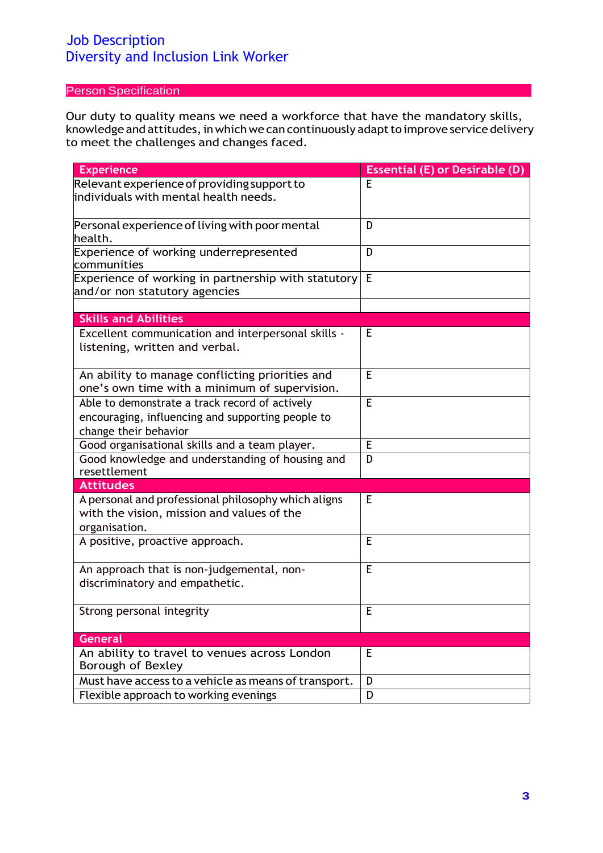## Person Specification

Our duty to quality means we need a workforce that have the mandatory skills, knowledge and attitudes, in which we can continuously adapt to improve service delivery to meet the challenges and changes faced.

| <b>Experience</b>                                                                                                            | <b>Essential (E) or Desirable (D)</b> |
|------------------------------------------------------------------------------------------------------------------------------|---------------------------------------|
| Relevant experience of providing support to<br>individuals with mental health needs.                                         | E                                     |
| Personal experience of living with poor mental<br>health.                                                                    | D                                     |
| Experience of working underrepresented<br>communities                                                                        | D                                     |
| Experience of working in partnership with statutory<br>and/or non statutory agencies                                         | E                                     |
|                                                                                                                              |                                       |
| <b>Skills and Abilities</b>                                                                                                  |                                       |
| Excellent communication and interpersonal skills -<br>listening, written and verbal.                                         | Е                                     |
| An ability to manage conflicting priorities and<br>one's own time with a minimum of supervision.                             | E                                     |
| Able to demonstrate a track record of actively<br>encouraging, influencing and supporting people to<br>change their behavior | E                                     |
| Good organisational skills and a team player.                                                                                | E                                     |
| Good knowledge and understanding of housing and<br>resettlement                                                              | D                                     |
| <b>Attitudes</b>                                                                                                             |                                       |
| A personal and professional philosophy which aligns<br>with the vision, mission and values of the<br>organisation.           | E                                     |
| A positive, proactive approach.                                                                                              | Е                                     |
| An approach that is non-judgemental, non-<br>discriminatory and empathetic.                                                  | E                                     |
| Strong personal integrity                                                                                                    | E                                     |
| <b>General</b>                                                                                                               |                                       |
| An ability to travel to venues across London<br>Borough of Bexley                                                            | E                                     |
| Must have access to a vehicle as means of transport.                                                                         | D                                     |
| Flexible approach to working evenings                                                                                        | D                                     |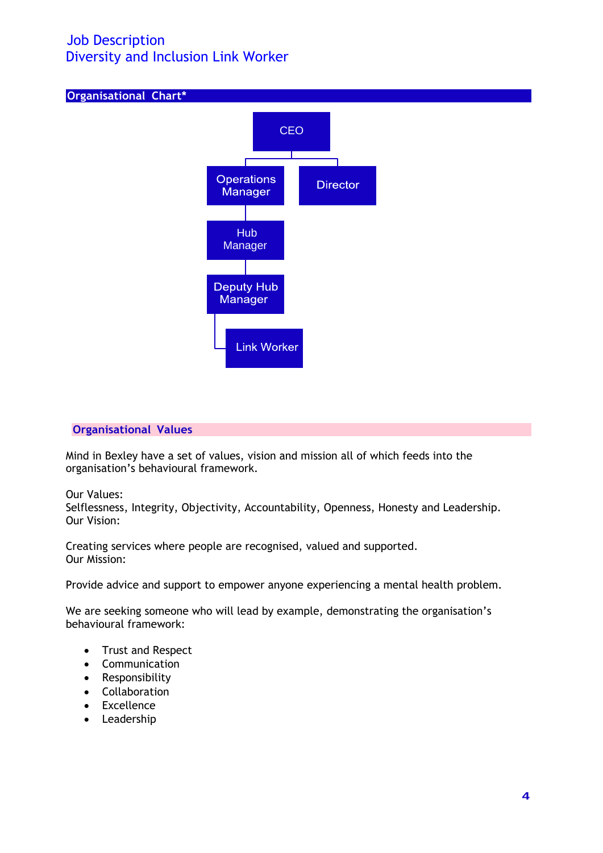

#### **Organisational Values**

Mind in Bexley have a set of values, vision and mission all of which feeds into the organisation's behavioural framework.

Our Values:

Selflessness, Integrity, Objectivity, Accountability, Openness, Honesty and Leadership. Our Vision:

Creating services where people are recognised, valued and supported. Our Mission:

Provide advice and support to empower anyone experiencing a mental health problem.

We are seeking someone who will lead by example, demonstrating the organisation's behavioural framework:

- Trust and Respect
- Communication
- Responsibility
- Collaboration
- Excellence
- Leadership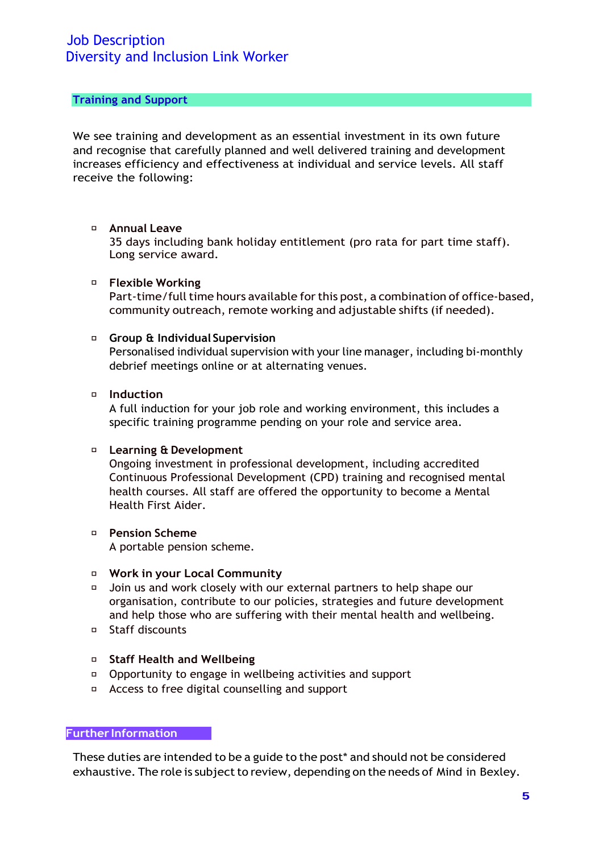#### **Training and Support**

We see training and development as an essential investment in its own future and recognise that carefully planned and well delivered training and development increases efficiency and effectiveness at individual and service levels. All staff receive the following:

#### **Annual Leave**

35 days including bank holiday entitlement (pro rata for part time staff). Long service award.

#### **Flexible Working**

Part-time/full time hours available for this post, a combination of office-based, community outreach, remote working and adjustable shifts (if needed).

#### **Group & Individual Supervision**

Personalised individual supervision with your line manager, including bi-monthly debrief meetings online or at alternating venues.

#### **Induction**

A full induction for your job role and working environment, this includes a specific training programme pending on your role and service area.

### **Learning & Development**

Ongoing investment in professional development, including accredited Continuous Professional Development (CPD) training and recognised mental health courses. All staff are offered the opportunity to become a Mental Health First Aider.

#### **Pension Scheme** A portable pension scheme.

#### **Work in your Local Community**

- Join us and work closely with our external partners to help shape our organisation, contribute to our policies, strategies and future development and help those who are suffering with their mental health and wellbeing.
- Staff discounts

### **Staff Health and Wellbeing**

- Opportunity to engage in wellbeing activities and support
- Access to free digital counselling and support

### **Further Information**

These duties are intended to be a guide to the post\* and should not be considered exhaustive. The role is subject to review, depending on the needs of Mind in Bexley.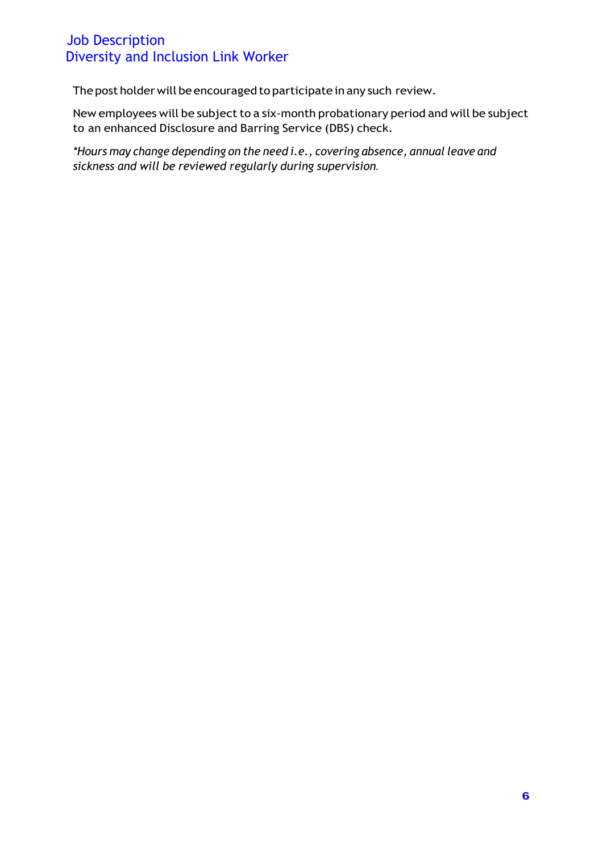The post holder will be encouraged to participate in any such review.

New employees will be subject to a six-month probationary period and will be subject to an enhanced Disclosure and Barring Service (DBS) check.

*\*Hours may change depending on the need i.e., covering absence, annual leave and sickness and will be reviewed regularly during supervision.*